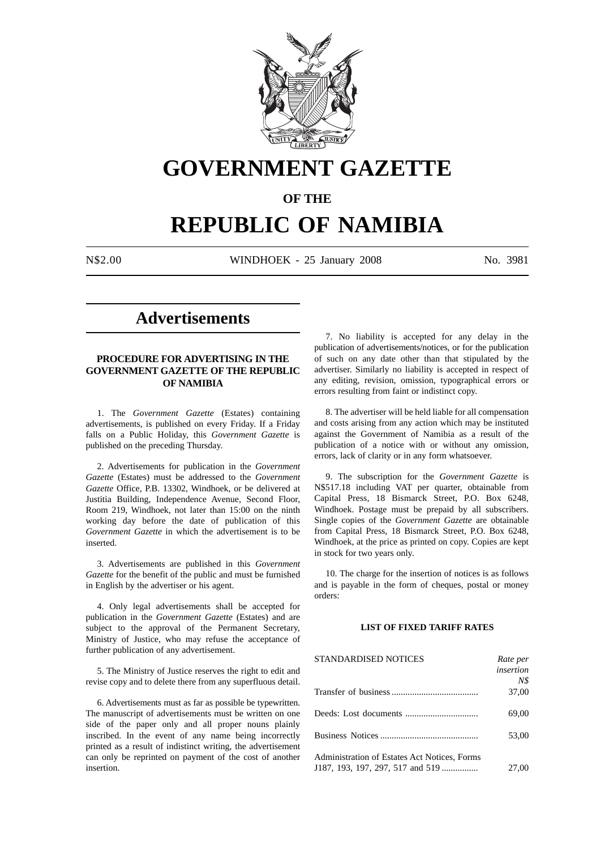

# **GOVERNMENT GAZETTE**

### **OF THE**

## **REPUBLIC OF NAMIBIA**

N\$2.00 WINDHOEK - 25 January 2008 No. 3981

### **Advertisements**

#### **PROCEDURE FOR ADVERTISING IN THE GOVERNMENT GAZETTE OF THE REPUBLIC OF NAMIBIA**

1. The *Government Gazette* (Estates) containing advertisements, is published on every Friday. If a Friday falls on a Public Holiday, this *Government Gazette* is published on the preceding Thursday.

2. Advertisements for publication in the *Government Gazette* (Estates) must be addressed to the *Government Gazette* Office, P.B. 13302, Windhoek, or be delivered at Justitia Building, Independence Avenue, Second Floor, Room 219, Windhoek, not later than 15:00 on the ninth working day before the date of publication of this *Government Gazette* in which the advertisement is to be inserted.

3. Advertisements are published in this *Government Gazette* for the benefit of the public and must be furnished in English by the advertiser or his agent.

4. Only legal advertisements shall be accepted for publication in the *Government Gazette* (Estates) and are subject to the approval of the Permanent Secretary, Ministry of Justice, who may refuse the acceptance of further publication of any advertisement.

5. The Ministry of Justice reserves the right to edit and revise copy and to delete there from any superfluous detail.

6. Advertisements must as far as possible be typewritten. The manuscript of advertisements must be written on one side of the paper only and all proper nouns plainly inscribed. In the event of any name being incorrectly printed as a result of indistinct writing, the advertisement can only be reprinted on payment of the cost of another insertion.

7. No liability is accepted for any delay in the publication of advertisements/notices, or for the publication of such on any date other than that stipulated by the advertiser. Similarly no liability is accepted in respect of any editing, revision, omission, typographical errors or errors resulting from faint or indistinct copy.

8. The advertiser will be held liable for all compensation and costs arising from any action which may be instituted against the Government of Namibia as a result of the publication of a notice with or without any omission, errors, lack of clarity or in any form whatsoever.

9. The subscription for the *Government Gazette* is N\$517.18 including VAT per quarter, obtainable from Capital Press, 18 Bismarck Street, P.O. Box 6248, Windhoek. Postage must be prepaid by all subscribers. Single copies of the *Government Gazette* are obtainable from Capital Press, 18 Bismarck Street, P.O. Box 6248, Windhoek, at the price as printed on copy. Copies are kept in stock for two years only.

10. The charge for the insertion of notices is as follows and is payable in the form of cheques, postal or money orders:

#### **LIST OF FIXED TARIFF RATES**

| <b>STANDARDISED NOTICES</b>                  | Rate per         |
|----------------------------------------------|------------------|
|                                              | <i>insertion</i> |
|                                              | N\$              |
|                                              | 37,00            |
|                                              | 69,00            |
|                                              | 53,00            |
| Administration of Estates Act Notices, Forms |                  |
| J187, 193, 197, 297, 517 and 519             | 27.00            |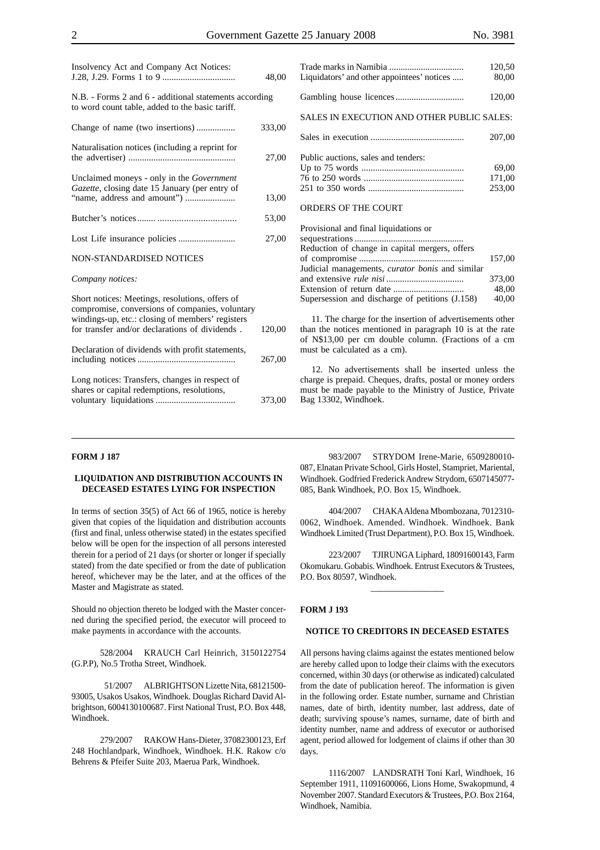| Insolvency Act and Company Act Notices:                                                                                                                                                                  | 48,00  |
|----------------------------------------------------------------------------------------------------------------------------------------------------------------------------------------------------------|--------|
| N.B. - Forms 2 and 6 - additional statements according<br>to word count table, added to the basic tariff.                                                                                                |        |
| Change of name (two insertions)                                                                                                                                                                          | 333,00 |
| Naturalisation notices (including a reprint for                                                                                                                                                          | 27,00  |
| Unclaimed moneys - only in the Government<br>Gazette, closing date 15 January (per entry of                                                                                                              | 13,00  |
|                                                                                                                                                                                                          | 53,00  |
|                                                                                                                                                                                                          | 27,00  |
| NON-STANDARDISED NOTICES                                                                                                                                                                                 |        |
| Company notices:                                                                                                                                                                                         |        |
| Short notices: Meetings, resolutions, offers of<br>compromise, conversions of companies, voluntary<br>windings-up, etc.: closing of members' registers<br>for transfer and/or declarations of dividends. | 120,00 |
| Declaration of dividends with profit statements,                                                                                                                                                         | 267,00 |
| Long notices: Transfers, changes in respect of<br>shares or capital redemptions, resolutions,                                                                                                            | 373,00 |

| Liquidators' and other appointees' notices | 120,50<br>80,00 |
|--------------------------------------------|-----------------|
|                                            | 120,00          |
| SALES IN EXECUTION AND OTHER PUBLIC SALES: |                 |
|                                            | 207,00          |

| Public auctions, sales and tenders: |        |
|-------------------------------------|--------|
|                                     | 69.00  |
|                                     | 171.00 |
|                                     | 253.00 |

#### ORDERS OF THE COURT

| Provisional and final liquidations or                  |        |
|--------------------------------------------------------|--------|
|                                                        |        |
| Reduction of change in capital mergers, offers         |        |
|                                                        | 157.00 |
| Judicial managements, <i>curator bonis</i> and similar |        |
|                                                        | 373,00 |
|                                                        | 48.00  |
| Supersession and discharge of petitions (J.158)        | 40,00  |
|                                                        |        |

11. The charge for the insertion of advertisements other than the notices mentioned in paragraph 10 is at the rate of N\$13,00 per cm double column. (Fractions of a cm must be calculated as a cm).

12. No advertisements shall be inserted unless the charge is prepaid. Cheques, drafts, postal or money orders must be made payable to the Ministry of Justice, Private Bag 13302, Windhoek.

#### **FORM J 187**

#### **LIQUIDATION AND DISTRIBUTION ACCOUNTS IN DECEASED ESTATES LYING FOR INSPECTION**

In terms of section 35(5) of Act 66 of 1965, notice is hereby given that copies of the liquidation and distribution accounts (first and final, unless otherwise stated) in the estates specified below will be open for the inspection of all persons interested therein for a period of 21 days (or shorter or longer if specially stated) from the date specified or from the date of publication hereof, whichever may be the later, and at the offices of the Master and Magistrate as stated.

Should no objection thereto be lodged with the Master concerned during the specified period, the executor will proceed to make payments in accordance with the accounts.

528/2004 KRAUCH Carl Heinrich, 3150122754 (G.P.P), No.5 Trotha Street, Windhoek.

 51/2007 ALBRIGHTSON Lizette Nita, 68121500- 93005, Usakos Usakos, Windhoek. Douglas Richard David Albrightson, 6004130100687. First National Trust, P.O. Box 448, Windhoek.

279/2007 RAKOW Hans-Dieter, 37082300123, Erf 248 Hochlandpark, Windhoek, Windhoek. H.K. Rakow c/o Behrens & Pfeifer Suite 203, Maerua Park, Windhoek.

983/2007 STRYDOM Irene-Marie, 6509280010- 087, Elnatan Private School, Girls Hostel, Stampriet, Mariental, Windhoek. Godfried Frederick Andrew Strydom, 6507145077- 085, Bank Windhoek, P.O. Box 15, Windhoek.

404/2007 CHAKA Aldena Mbombozana, 7012310- 0062, Windhoek. Amended. Windhoek. Windhoek. Bank Windhoek Limited (Trust Department), P.O. Box 15, Windhoek.

223/2007 TJIRUNGA Liphard, 18091600143, Farm Okomukaru. Gobabis. Windhoek. Entrust Executors & Trustees, P.O. Box 80597, Windhoek.

\_\_\_\_\_\_\_\_\_\_\_\_\_\_\_\_\_

#### **FORM J 193**

#### **NOTICE TO CREDITORS IN DECEASED ESTATES**

All persons having claims against the estates mentioned below are hereby called upon to lodge their claims with the executors concerned, within 30 days (or otherwise as indicated) calculated from the date of publication hereof. The information is given in the following order. Estate number, surname and Christian names, date of birth, identity number, last address, date of death; surviving spouse's names, surname, date of birth and identity number, name and address of executor or authorised agent, period allowed for lodgement of claims if other than 30 days.

1116/2007 LANDSRATH Toni Karl, Windhoek, 16 September 1911, 11091600066, Lions Home, Swakopmund, 4 November 2007. Standard Executors & Trustees, P.O. Box 2164, Windhoek, Namibia.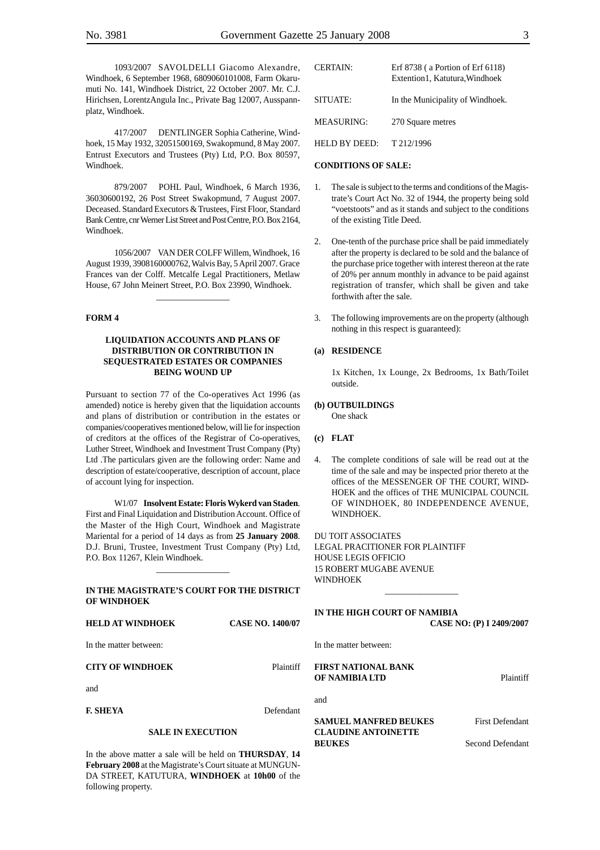1093/2007 SAVOLDELLI Giacomo Alexandre, Windhoek, 6 September 1968, 6809060101008, Farm Okarumuti No. 141, Windhoek District, 22 October 2007. Mr. C.J. Hirichsen, LorentzAngula Inc., Private Bag 12007, Ausspannplatz, Windhoek.

417/2007 DENTLINGER Sophia Catherine, Windhoek, 15 May 1932, 32051500169, Swakopmund, 8 May 2007. Entrust Executors and Trustees (Pty) Ltd, P.O. Box 80597, Windhoek.

879/2007 POHL Paul, Windhoek, 6 March 1936, 36030600192, 26 Post Street Swakopmund, 7 August 2007. Deceased. Standard Executors & Trustees, First Floor, Standard Bank Centre, cnr Werner List Street and Post Centre, P.O. Box 2164, Windhoek.

1056/2007 VAN DER COLFF Willem, Windhoek, 16 August 1939, 3908160000762, Walvis Bay, 5 April 2007. Grace Frances van der Colff. Metcalfe Legal Practitioners, Metlaw House, 67 John Meinert Street, P.O. Box 23990, Windhoek.

\_\_\_\_\_\_\_\_\_\_\_\_\_\_\_\_\_

#### **FORM 4**

#### **LIQUIDATION ACCOUNTS AND PLANS OF DISTRIBUTION OR CONTRIBUTION IN SEQUESTRATED ESTATES OR COMPANIES BEING WOUND UP**

Pursuant to section 77 of the Co-operatives Act 1996 (as amended) notice is hereby given that the liquidation accounts and plans of distribution or contribution in the estates or companies/cooperatives mentioned below, will lie for inspection of creditors at the offices of the Registrar of Co-operatives, Luther Street, Windhoek and Investment Trust Company (Pty) Ltd .The particulars given are the following order: Name and description of estate/cooperative, description of account, place of account lying for inspection.

W1/07 **Insolvent Estate: Floris Wykerd van Staden**. First and Final Liquidation and Distribution Account. Office of the Master of the High Court, Windhoek and Magistrate Mariental for a period of 14 days as from **25 January 2008**. D.J. Bruni, Trustee, Investment Trust Company (Pty) Ltd, P.O. Box 11267, Klein Windhoek.

#### **IN THE MAGISTRATE'S COURT FOR THE DISTRICT OF WINDHOEK**

\_\_\_\_\_\_\_\_\_\_\_\_\_\_\_\_\_

#### **HELD AT WINDHOEK CASE NO. 1400/07**

In the matter between:

#### **CITY OF WINDHOEK** Plaintiff

and

**F. SHEYA** Defendant

#### **SALE IN EXECUTION**

In the above matter a sale will be held on **THURSDAY**, **14 February 2008** at the Magistrate's Court situate at MUNGUN-DA STREET, KATUTURA, **WINDHOEK** at **10h00** of the following property.

| CERTAIN:      | Erf 8738 (a Portion of Erf 6118)<br>Extention1, Katutura, Windhoek |
|---------------|--------------------------------------------------------------------|
| SITUATE:      | In the Municipality of Windhoek.                                   |
| MEASURING:    | 270 Square metres                                                  |
| HELD BY DEED: | T 212/1996                                                         |

#### **CONDITIONS OF SALE:**

- 1. The sale is subject to the terms and conditions of the Magistrate's Court Act No. 32 of 1944, the property being sold "voetstoots" and as it stands and subject to the conditions of the existing Title Deed.
- 2. One-tenth of the purchase price shall be paid immediately after the property is declared to be sold and the balance of the purchase price together with interest thereon at the rate of 20% per annum monthly in advance to be paid against registration of transfer, which shall be given and take forthwith after the sale.
- 3. The following improvements are on the property (although nothing in this respect is guaranteed):

#### **(a) RESIDENCE**

1x Kitchen, 1x Lounge, 2x Bedrooms, 1x Bath/Toilet outside.

#### **(b) OUTBUILDINGS**

One shack

- **(c) FLAT**
- 4. The complete conditions of sale will be read out at the time of the sale and may be inspected prior thereto at the offices of the MESSENGER OF THE COURT, WIND-HOEK and the offices of THE MUNICIPAL COUNCIL OF WINDHOEK, 80 INDEPENDENCE AVENUE, WINDHOEK.

DU TOIT ASSOCIATES LEGAL PRACITIONER FOR PLAINTIFF HOUSE LEGIS OFFICIO 15 ROBERT MUGABE AVENUE **WINDHOEK** 

#### **IN THE HIGH COURT OF NAMIBIA CASE NO: (P) I 2409/2007**

\_\_\_\_\_\_\_\_\_\_\_\_\_\_\_\_\_

In the matter between:

#### **FIRST NATIONAL BANK OF NAMIBIA LTD** Plaintiff

and

#### **SAMUEL MANFRED BEUKES** First Defendant **CLAUDINE ANTOINETTE BEUKES** Second Defendant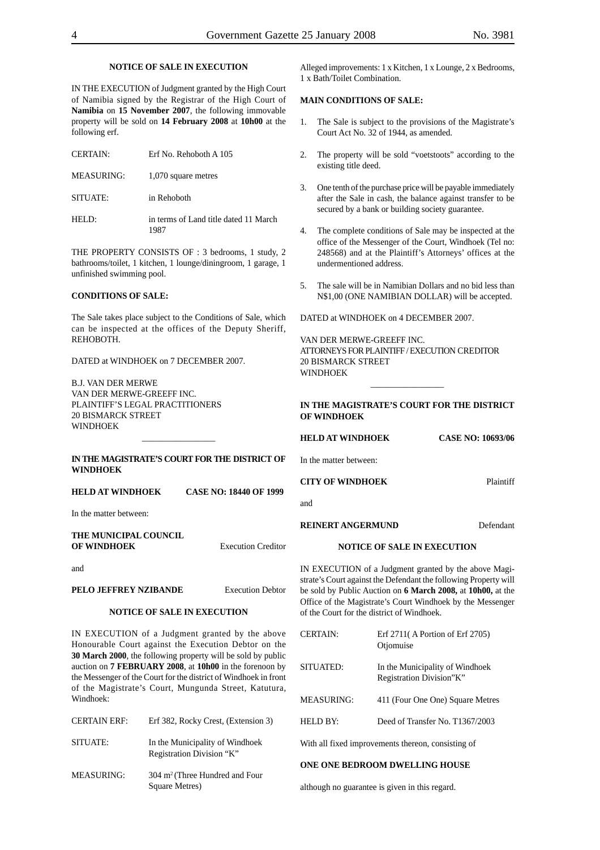#### **NOTICE OF SALE IN EXECUTION**

IN THE EXECUTION of Judgment granted by the High Court of Namibia signed by the Registrar of the High Court of **Namibia** on **15 November 2007**, the following immovable property will be sold on **14 February 2008** at **10h00** at the following erf.

| <b>CERTAIN:</b> | Erf No. Rehoboth A 105                        |
|-----------------|-----------------------------------------------|
| MEASURING:      | 1,070 square metres                           |
| SITUATE:        | in Rehoboth                                   |
| HELD:           | in terms of Land title dated 11 March<br>1987 |

THE PROPERTY CONSISTS OF : 3 bedrooms, 1 study, 2 bathrooms/toilet, 1 kitchen, 1 lounge/diningroom, 1 garage, 1 unfinished swimming pool.

#### **CONDITIONS OF SALE:**

The Sale takes place subject to the Conditions of Sale, which can be inspected at the offices of the Deputy Sheriff, REHOBOTH.

DATED at WINDHOEK on 7 DECEMBER 2007.

B.J. VAN DER MERWE VAN DER MERWE-GREEFF INC. PLAINTIFF'S LEGAL PRACTITIONERS 20 BISMARCK STREET **WINDHOEK** 

#### **IN THE MAGISTRATE'S COURT FOR THE DISTRICT OF WINDHOEK**

\_\_\_\_\_\_\_\_\_\_\_\_\_\_\_\_\_

**HELD AT WINDHOEK CASE NO: 18440 OF 1999**

In the matter between:

| THE MUNICIPAL COUNCIL |                           |
|-----------------------|---------------------------|
| <b>OF WINDHOEK</b>    | <b>Execution Creditor</b> |

and

#### **PELO JEFFREY NZIBANDE** Execution Debtor

#### **NOTICE OF SALE IN EXECUTION**

IN EXECUTION of a Judgment granted by the above Honourable Court against the Execution Debtor on the **30 March 2000**, the following property will be sold by public auction on **7 FEBRUARY 2008**, at **10h00** in the forenoon by the Messenger of the Court for the district of Windhoek in front of the Magistrate's Court, Mungunda Street, Katutura, Windhoek:

| <b>CERTAIN ERF:</b> | Erf 382, Rocky Crest, (Extension 3)                          |
|---------------------|--------------------------------------------------------------|
| SITUATE:            | In the Municipality of Windhoek<br>Registration Division "K" |
| <b>MEASURING:</b>   | $304 \text{ m}^2$ (Three Hundred and Four<br>Square Metres)  |

Alleged improvements: 1 x Kitchen, 1 x Lounge, 2 x Bedrooms, 1 x Bath/Toilet Combination.

#### **MAIN CONDITIONS OF SALE:**

- 1. The Sale is subject to the provisions of the Magistrate's Court Act No. 32 of 1944, as amended.
- 2. The property will be sold "voetstoots" according to the existing title deed.
- 3. One tenth of the purchase price will be payable immediately after the Sale in cash, the balance against transfer to be secured by a bank or building society guarantee.
- 4. The complete conditions of Sale may be inspected at the office of the Messenger of the Court, Windhoek (Tel no: 248568) and at the Plaintiff's Attorneys' offices at the undermentioned address.
- 5. The sale will be in Namibian Dollars and no bid less than N\$1,00 (ONE NAMIBIAN DOLLAR) will be accepted.

DATED at WINDHOEK on 4 DECEMBER 2007.

VAN DER MERWE-GREEFF INC. ATTORNEYS FOR PLAINTIFF / EXECUTION CREDITOR 20 BISMARCK STREET **WINDHOFK** 

**IN THE MAGISTRATE'S COURT FOR THE DISTRICT OF WINDHOEK**

\_\_\_\_\_\_\_\_\_\_\_\_\_\_\_\_\_

**HELD AT WINDHOEK CASE NO: 10693/06** 

In the matter between:

#### **CITY OF WINDHOEK** Plaintiff

and

#### **REINERT ANGERMUND** Defendant

#### **NOTICE OF SALE IN EXECUTION**

IN EXECUTION of a Judgment granted by the above Magistrate's Court against the Defendant the following Property will be sold by Public Auction on **6 March 2008,** at **10h00,** at the Office of the Magistrate's Court Windhoek by the Messenger of the Court for the district of Windhoek.

| <b>CERTAIN:</b> | Erf 2711(A Portion of Erf 2705)<br>Otjomuise                |
|-----------------|-------------------------------------------------------------|
| SITUATED:       | In the Municipality of Windhoek<br>Registration Division"K" |
| MEASURING:      | 411 (Four One One) Square Metres                            |
| HELD BY:        | Deed of Transfer No. T1367/2003                             |
|                 |                                                             |

With all fixed improvements thereon, consisting of

#### **ONE ONE BEDROOM DWELLING HOUSE**

although no guarantee is given in this regard.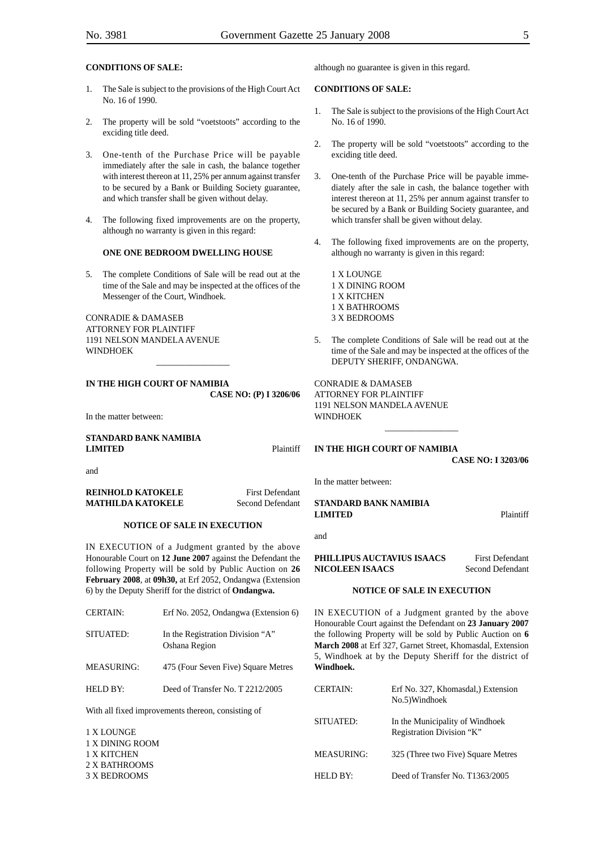#### **CONDITIONS OF SALE:**

- 1. The Sale is subject to the provisions of the High Court Act No. 16 of 1990.
- 2. The property will be sold "voetstoots" according to the exciding title deed.
- 3. One-tenth of the Purchase Price will be payable immediately after the sale in cash, the balance together with interest thereon at 11, 25% per annum against transfer to be secured by a Bank or Building Society guarantee, and which transfer shall be given without delay.
- 4. The following fixed improvements are on the property, although no warranty is given in this regard:

#### **ONE ONE BEDROOM DWELLING HOUSE**

5. The complete Conditions of Sale will be read out at the time of the Sale and may be inspected at the offices of the Messenger of the Court, Windhoek.

\_\_\_\_\_\_\_\_\_\_\_\_\_\_\_\_\_

CONRADIE & DAMASEB ATTORNEY FOR PLAINTIFF 1191 NELSON MANDELA AVENUE WINDHOEK

**IN THE HIGH COURT OF NAMIBIA CASE NO: (P) I 3206/06**

In the matter between:

#### **STANDARD BANK NAMIBIA LIMITED** Plaintiff

and

**REINHOLD KATOKELE** First Defendant **MATHILDA KATOKELE** Second Defendant

#### **NOTICE OF SALE IN EXECUTION**

IN EXECUTION of a Judgment granted by the above Honourable Court on **12 June 2007** against the Defendant the following Property will be sold by Public Auction on **26 February 2008**, at **09h30,** at Erf 2052, Ondangwa (Extension 6) by the Deputy Sheriff for the district of **Ondangwa.**

| <b>CERTAIN:</b>   | Erf No. 2052, Ondangwa (Extension 6)               |
|-------------------|----------------------------------------------------|
| SITUATED:         | In the Registration Division "A"<br>Oshana Region  |
| <b>MEASURING:</b> | 475 (Four Seven Five) Square Metres                |
| <b>HELD BY:</b>   | Deed of Transfer No. T 2212/2005                   |
|                   | With all fixed improvements thereon, consisting of |

1 X LOUNGE 1 X DINING ROOM 1 X KITCHEN 2 X BATHROOMS 3 X BEDROOMS

although no guarantee is given in this regard.

#### **CONDITIONS OF SALE:**

- 1. The Sale is subject to the provisions of the High Court Act No. 16 of 1990.
- 2. The property will be sold "voetstoots" according to the exciding title deed.
- 3. One-tenth of the Purchase Price will be payable immediately after the sale in cash, the balance together with interest thereon at 11, 25% per annum against transfer to be secured by a Bank or Building Society guarantee, and which transfer shall be given without delay.
- 4. The following fixed improvements are on the property, although no warranty is given in this regard:

1 X LOUNGE 1 X DINING ROOM 1 X KITCHEN 1 X BATHROOMS 3 X BEDROOMS

5. The complete Conditions of Sale will be read out at the time of the Sale and may be inspected at the offices of the DEPUTY SHERIFF, ONDANGWA.

\_\_\_\_\_\_\_\_\_\_\_\_\_\_\_\_\_

CONRADIE & DAMASEB ATTORNEY FOR PLAINTIFF 1191 NELSON MANDELA AVENUE WINDHOEK

**IN THE HIGH COURT OF NAMIBIA**

**CASE NO: I 3203/06**

In the matter between:

**STANDARD BANK NAMIBIA LIMITED** Plaintiff

and

**PHILLIPUS AUCTAVIUS ISAACS** First Defendant **NICOLEEN ISAACS** Second Defendant

#### **NOTICE OF SALE IN EXECUTION**

IN EXECUTION of a Judgment granted by the above Honourable Court against the Defendant on **23 January 2007** the following Property will be sold by Public Auction on **6 March 2008** at Erf 327, Garnet Street, Khomasdal, Extension 5, Windhoek at by the Deputy Sheriff for the district of **Windhoek.**

| <b>CERTAIN:</b>   | Erf No. 327, Khomasdal, Extension<br>No.5)Windhoek           |
|-------------------|--------------------------------------------------------------|
| SITUATED:         | In the Municipality of Windhoek<br>Registration Division "K" |
| <b>MEASURING:</b> | 325 (Three two Five) Square Metres                           |
| HELD BY:          | Deed of Transfer No. T1363/2005                              |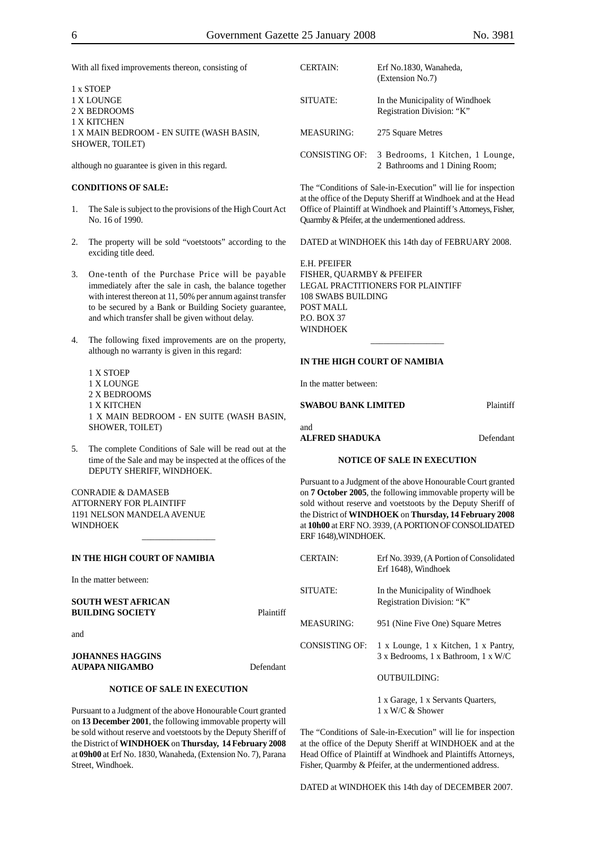With all fixed improvements thereon, consisting of

1 x STOEP 1 X LOUNGE 2 X BEDROOMS 1 X KITCHEN 1 X MAIN BEDROOM - EN SUITE (WASH BASIN, SHOWER, TOILET)

although no guarantee is given in this regard.

#### **CONDITIONS OF SALE:**

- 1. The Sale is subject to the provisions of the High Court Act No. 16 of 1990.
- 2. The property will be sold "voetstoots" according to the exciding title deed.
- 3. One-tenth of the Purchase Price will be payable immediately after the sale in cash, the balance together with interest thereon at 11, 50% per annum against transfer to be secured by a Bank or Building Society guarantee, and which transfer shall be given without delay.
- 4. The following fixed improvements are on the property, although no warranty is given in this regard:
	- 1 X STOEP 1 X LOUNGE 2 X BEDROOMS 1 X KITCHEN 1 X MAIN BEDROOM - EN SUITE (WASH BASIN, SHOWER, TOILET)
- 5. The complete Conditions of Sale will be read out at the time of the Sale and may be inspected at the offices of the DEPUTY SHERIFF, WINDHOEK.

 $\overline{\phantom{a}}$ 

CONRADIE & DAMASEB ATTORNERY FOR PLAINTIFF 1191 NELSON MANDELA AVENUE WINDHOEK

#### **IN THE HIGH COURT OF NAMIBIA**

In the matter between:

#### **SOUTH WEST AFRICAN BUILDING SOCIETY** Plaintiff

and

#### **JOHANNES HAGGINS AUPAPA NIIGAMBO** Defendant

#### **NOTICE OF SALE IN EXECUTION**

Pursuant to a Judgment of the above Honourable Court granted on **13 December 2001**, the following immovable property will be sold without reserve and voetstoots by the Deputy Sheriff of the District of **WINDHOEK** on **Thursday, 14 February 2008** at **09h00** at Erf No. 1830, Wanaheda, (Extension No. 7), Parana Street, Windhoek.

| <b>CERTAIN:</b>   | Erf No.1830, Wanaheda,<br>(Extension No.7)                         |
|-------------------|--------------------------------------------------------------------|
| SITUATE:          | In the Municipality of Windhoek<br>Registration Division: "K"      |
| <b>MEASURING:</b> | 275 Square Metres                                                  |
| CONSISTING OF:    | 3 Bedrooms, 1 Kitchen, 1 Lounge,<br>2 Bathrooms and 1 Dining Room; |

The "Conditions of Sale-in-Execution" will lie for inspection at the office of the Deputy Sheriff at Windhoek and at the Head Office of Plaintiff at Windhoek and Plaintiff's Attorneys, Fisher, Quarmby & Pfeifer, at the undermentioned address.

DATED at WINDHOEK this 14th day of FEBRUARY 2008.

\_\_\_\_\_\_\_\_\_\_\_\_\_\_\_\_\_

E.H. PFEIFER FISHER, QUARMBY & PFEIFER LEGAL PRACTITIONERS FOR PLAINTIFF 108 SWABS BUILDING POST MALL P.O. BOX 37 WINDHOEK

#### **IN THE HIGH COURT OF NAMIBIA**

In the matter between:

#### **SWABOU BANK LIMITED** Plaintiff

#### and **ALFRED SHADUKA** Defendant

#### **NOTICE OF SALE IN EXECUTION**

Pursuant to a Judgment of the above Honourable Court granted on **7 October 2005**, the following immovable property will be sold without reserve and voetstoots by the Deputy Sheriff of the District of **WINDHOEK** on **Thursday, 14 February 2008** at **10h00** at ERF NO. 3939, (A PORTION OF CONSOLIDATED ERF 1648),WINDHOEK.

| <b>CERTAIN:</b> | Erf No. 3939, (A Portion of Consolidated<br>Erf 1648), Windhoek             |
|-----------------|-----------------------------------------------------------------------------|
| SITUATE:        | In the Municipality of Windhoek<br>Registration Division: "K"               |
| MEASURING:      | 951 (Nine Five One) Square Metres                                           |
| CONSISTING OF:  | 1 x Lounge, 1 x Kitchen, 1 x Pantry,<br>3 x Bedrooms, 1 x Bathroom, 1 x W/C |
|                 | OUTBUILDING:                                                                |
|                 | 1 x Garage, 1 x Servants Quarters,                                          |

1 x W/C & Shower

The "Conditions of Sale-in-Execution" will lie for inspection at the office of the Deputy Sheriff at WINDHOEK and at the Head Office of Plaintiff at Windhoek and Plaintiffs Attorneys, Fisher, Quarmby & Pfeifer, at the undermentioned address.

DATED at WINDHOEK this 14th day of DECEMBER 2007.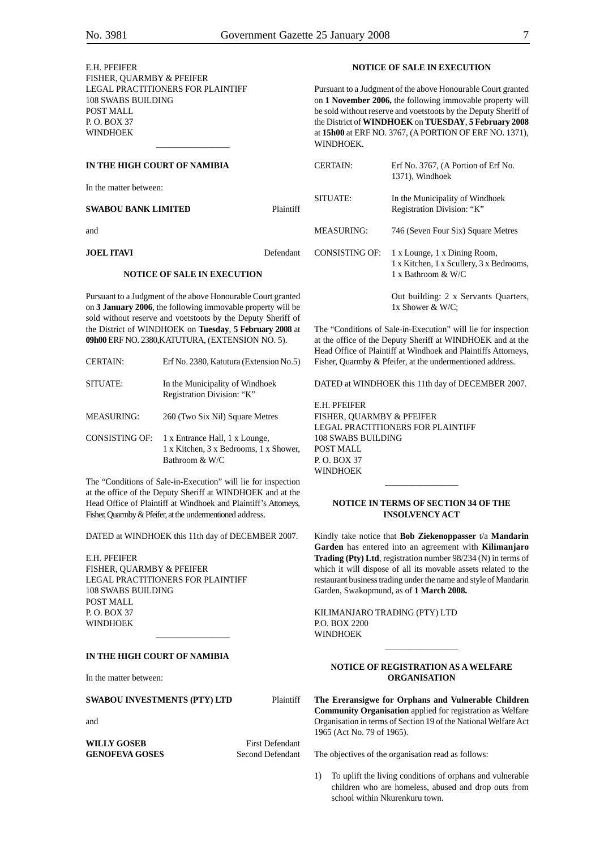| E.H. PFEIFER                                                                                                                  |           | <b>NOTICE OF SALE IN EXECUTION</b>                                                                                                                                                                                                                                                                                          |                                                                |
|-------------------------------------------------------------------------------------------------------------------------------|-----------|-----------------------------------------------------------------------------------------------------------------------------------------------------------------------------------------------------------------------------------------------------------------------------------------------------------------------------|----------------------------------------------------------------|
| FISHER, OUARMBY & PFEIFER<br>LEGAL PRACTITIONERS FOR PLAINTIFF<br>108 SWABS BUILDING<br>POST MALL<br>P. O. BOX 37<br>WINDHOEK |           | Pursuant to a Judgment of the above Honourable Court granted<br>on 1 November 2006, the following immovable property will<br>be sold without reserve and voetstoots by the Deputy Sheriff of<br>the District of WINDHOEK on TUESDAY, 5 February 2008<br>at 15h00 at ERF NO. 3767, (A PORTION OF ERF NO. 1371),<br>WINDHOEK. |                                                                |
| IN THE HIGH COURT OF NAMIBIA                                                                                                  |           | <b>CERTAIN:</b>                                                                                                                                                                                                                                                                                                             | Erf No. 3767, (A Portion of Erf No.<br>1371), Windhoek         |
| In the matter between:                                                                                                        |           | SITUATE:                                                                                                                                                                                                                                                                                                                    | In the Municipality of Windhoek                                |
| <b>SWABOU BANK LIMITED</b>                                                                                                    | Plaintiff |                                                                                                                                                                                                                                                                                                                             | Registration Division: "K"                                     |
| and                                                                                                                           |           | <b>MEASURING:</b>                                                                                                                                                                                                                                                                                                           | 746 (Seven Four Six) Square Metres                             |
| <b>JOEL ITAVI</b>                                                                                                             | Defendant | <b>CONSISTING OF:</b>                                                                                                                                                                                                                                                                                                       | 1 x Lounge, 1 x Dining Room,                                   |
| <b>NOTICE OF SALE IN EXECUTION</b>                                                                                            |           |                                                                                                                                                                                                                                                                                                                             | 1 x Kitchen, 1 x Scullery, 3 x Bedrooms,<br>1 x Bathroom & W/C |
| Pursuant to a Judgment of the above Honourable Court granted<br>on 3 January 2006, the following immovable property will be   |           |                                                                                                                                                                                                                                                                                                                             | Out building: 2 x Servants Quarters,<br>1x Shower & W/C;       |

The "Conditions of Sale-in-Execution" will lie for inspection at the office of the Deputy Sheriff at WINDHOEK and at the Head Office of Plaintiff at Windhoek and Plaintiffs Attorneys, Fisher, Quarmby & Pfeifer, at the undermentioned address.

DATED at WINDHOEK this 11th day of DECEMBER 2007.

E.H. PFEIFER FISHER, QUARMBY & PFEIFER LEGAL PRACTITIONERS FOR PLAINTIFF 108 SWABS BUILDING POST MALL P. O. BOX 37 WINDHOEK

#### **NOTICE IN TERMS OF SECTION 34 OF THE INSOLVENCY ACT**

\_\_\_\_\_\_\_\_\_\_\_\_\_\_\_\_\_

Kindly take notice that **Bob Ziekenoppasser** t/a **Mandarin Garden** has entered into an agreement with **Kilimanjaro Trading (Pty) Ltd**, registration number 98/234 (N) in terms of which it will dispose of all its movable assets related to the restaurant business trading under the name and style of Mandarin Garden, Swakopmund, as of **1 March 2008.**

KILIMANJARO TRADING (PTY) LTD P.O. BOX 2200 WINDHOEK

#### **NOTICE OF REGISTRATION AS A WELFARE ORGANISATION**

\_\_\_\_\_\_\_\_\_\_\_\_\_\_\_\_\_

**The Ereransigwe for Orphans and Vulnerable Children Community Organisation** applied for registration as Welfare Organisation in terms of Section 19 of the National Welfare Act 1965 (Act No. 79 of 1965).

The objectives of the organisation read as follows:

1) To uplift the living conditions of orphans and vulnerable children who are homeless, abused and drop outs from school within Nkurenkuru town.

an

on **3 January 2006**, the following immovable property will be sold without reserve and voetstoots by the Deputy Sheriff of the District of WINDHOEK on **Tuesday**, **5 February 2008** at **09h00** ERF NO. 2380,KATUTURA, (EXTENSION NO. 5).

| <b>CERTAIN:</b>       | Erf No. 2380, Katutura (Extension No.5)                                                    |
|-----------------------|--------------------------------------------------------------------------------------------|
| SITUATE:              | In the Municipality of Windhoek<br>Registration Division: "K"                              |
| <b>MEASURING:</b>     | 260 (Two Six Nil) Square Metres                                                            |
| <b>CONSISTING OF:</b> | 1 x Entrance Hall, 1 x Lounge,<br>1 x Kitchen, 3 x Bedrooms, 1 x Shower,<br>Bathroom & W/C |

The "Conditions of Sale-in-Execution" will lie for inspection at the office of the Deputy Sheriff at WINDHOEK and at the Head Office of Plaintiff at Windhoek and Plaintiff's Attorneys, Fisher, Quarmby & Pfeifer, at the undermentioned address.

DATED at WINDHOEK this 11th day of DECEMBER 2007.

\_\_\_\_\_\_\_\_\_\_\_\_\_\_\_\_\_

E.H. PFEIFER FISHER, QUARMBY & PFEIFER LEGAL PRACTITIONERS FOR PLAINTIFF 108 SWABS BUILDING POST MALL P. O. BOX 37 WINDHOEK

#### **IN THE HIGH COURT OF NAMIBIA**

In the matter between:

#### **SWABOU INVESTMENTS (PTY) LTD** Plaintiff

and

**WILLY GOSEB** First Defendant **GENOFEVA GOSES** Second Defendant